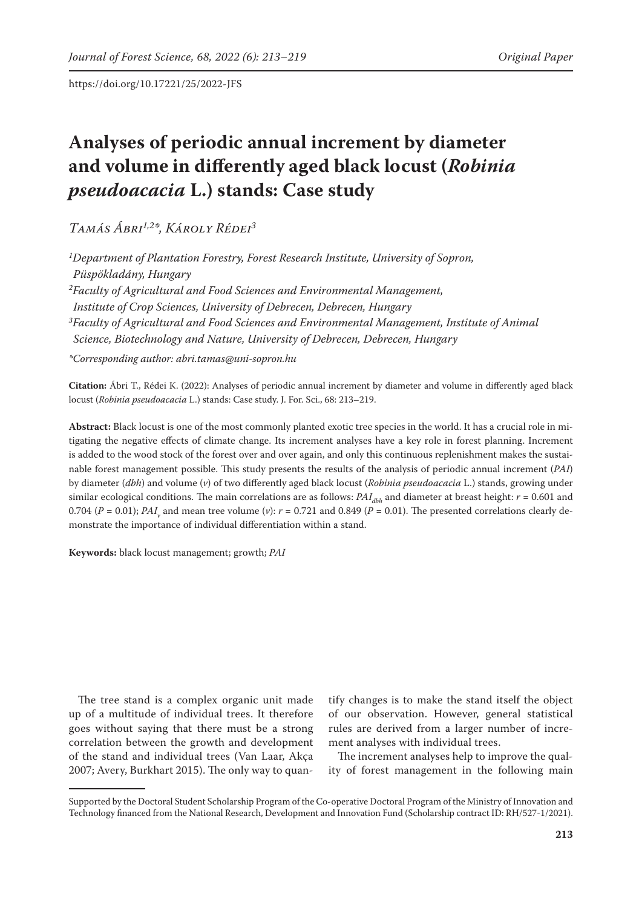# **Analyses of periodic annual increment by diameter and volume in differently aged black locust (***Robinia pseudoacacia* **L.) stands: Case study**

*Tamás Ábri1,2\*, Károly Rédei3*

*1 Department of Plantation Forestry, Forest Research Institute, University of Sopron, Püspökladány, Hungary 2 Faculty of Agricultural and Food Sciences and Environmental Management, Institute of Crop Sciences, University of Debrecen, Debrecen, Hungary 3 Faculty of Agricultural and Food Sciences and Environmental Management, Institute of Animal Science, Biotechnology and Nature, University of Debrecen, Debrecen, Hungary*

*\*Corresponding author: abri.tamas@uni-sopron.hu*

**Citation:** Ábri T., Rédei K. (2022): Analyses of periodic annual increment by diameter and volume in differently aged black locust (*Robinia pseudoacacia* L.) stands: Case study. J. For. Sci., 68: 213–219.

**Abstract:** Black locust is one of the most commonly planted exotic tree species in the world. It has a crucial role in mitigating the negative effects of climate change. Its increment analyses have a key role in forest planning. Increment is added to the wood stock of the forest over and over again, and only this continuous replenishment makes the sustainable forest management possible. This study presents the results of the analysis of periodic annual increment (*PAI*) by diameter (*dbh*) and volume (*v*) of two differently aged black locust (*Robinia pseudoacacia* L.) stands, growing under similar ecological conditions. The main correlations are as follows:  $PAI_{dbh}$  and diameter at breast height:  $r = 0.601$  and 0.704 (*P* = 0.01); *PAI*<sub>v</sub> and mean tree volume (*v*): *r* = 0.721 and 0.849 (*P* = 0.01). The presented correlations clearly demonstrate the importance of individual differentiation within a stand.

**Keywords:** black locust management; growth; *PAI*

The tree stand is a complex organic unit made up of a multitude of individual trees. It therefore goes without saying that there must be a strong correlation between the growth and development of the stand and individual trees (Van Laar, Akça 2007; Avery, Burkhart 2015). The only way to quantify changes is to make the stand itself the object of our observation. However, general statistical rules are derived from a larger number of increment analyses with individual trees.

The increment analyses help to improve the quality of forest management in the following main

Supported by the Doctoral Student Scholarship Program of the Co-operative Doctoral Program of the Ministry of Innovation and Technology financed from the National Research, Development and Innovation Fund (Scholarship contract ID: RH/527-1/2021).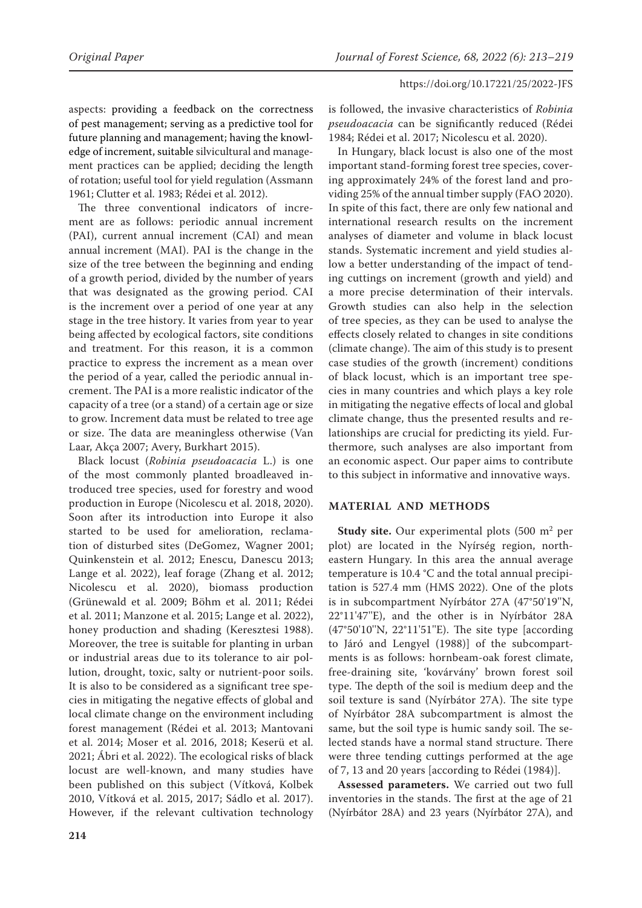aspects: providing a feedback on the correctness of pest management; serving as a predictive tool for future planning and management; having the knowledge of increment, suitable silvicultural and management practices can be applied; deciding the length of rotation; useful tool for yield regulation (Assmann 1961; Clutter et al. 1983; Rédei et al. 2012).

The three conventional indicators of increment are as follows: periodic annual increment (PAI), current annual increment (CAI) and mean annual increment (MAI). PAI is the change in the size of the tree between the beginning and ending of a growth period, divided by the number of years that was designated as the growing period. CAI is the increment over a period of one year at any stage in the tree history. It varies from year to year being affected by ecological factors, site conditions and treatment. For this reason, it is a common practice to express the increment as a mean over the period of a year, called the periodic annual increment. The PAI is a more realistic indicator of the capacity of a tree (or a stand) of a certain age or size to grow. Increment data must be related to tree age or size. The data are meaningless otherwise (Van Laar, Akça 2007; Avery, Burkhart 2015).

Black locust (*Robinia pseudoacacia* L.) is one of the most commonly planted broadleaved introduced tree species, used for forestry and wood production in Europe (Nicolescu et al. 2018, 2020). Soon after its introduction into Europe it also started to be used for amelioration, reclamation of disturbed sites (DeGomez, Wagner 2001; Quinkenstein et al. 2012; Enescu, Danescu 2013; Lange et al. 2022), leaf forage (Zhang et al. 2012; Nicolescu et al. 2020), biomass production (Grünewald et al. 2009; Böhm et al. 2011; Rédei et al. 2011; Manzone et al. 2015; Lange et al. 2022), honey production and shading (Keresztesi 1988). Moreover, the tree is suitable for planting in urban or industrial areas due to its tolerance to air pollution, drought, toxic, salty or nutrient-poor soils. It is also to be considered as a significant tree species in mitigating the negative effects of global and local climate change on the environment including forest management (Rédei et al. 2013; Mantovani et al. 2014; Moser et al. 2016, 2018; Keserü et al. 2021; Ábri et al. 2022). The ecological risks of black locust are well-known, and many studies have been published on this subject (Vítková, Kolbek 2010, Vítková et al. 2015, 2017; Sádlo et al. 2017). However, if the relevant cultivation technology

is followed, the invasive characteristics of *Robinia pseudoacacia* can be significantly reduced (Rédei 1984; Rédei et al. 2017; Nicolescu et al. 2020).

In Hungary, black locust is also one of the most important stand-forming forest tree species, covering approximately 24% of the forest land and providing 25% of the annual timber supply (FAO 2020). In spite of this fact, there are only few national and international research results on the increment analyses of diameter and volume in black locust stands. Systematic increment and yield studies allow a better understanding of the impact of tending cuttings on increment (growth and yield) and a more precise determination of their intervals. Growth studies can also help in the selection of tree species, as they can be used to analyse the effects closely related to changes in site conditions (climate change). The aim of this study is to present case studies of the growth (increment) conditions of black locust, which is an important tree species in many countries and which plays a key role in mitigating the negative effects of local and global climate change, thus the presented results and relationships are crucial for predicting its yield. Furthermore, such analyses are also important from an economic aspect. Our paper aims to contribute to this subject in informative and innovative ways.

# **MATERIAL AND METHODS**

**Study site.** Our experimental plots (500 m<sup>2</sup> per plot) are located in the Nyírség region, northeastern Hungary. In this area the annual average temperature is 10.4 °C and the total annual precipitation is 527.4 mm (HMS 2022). One of the plots is in subcompartment Nyírbátor 27A (47°50'19''N, 22°11'47''E), and the other is in Nyírbátor 28A (47°50'10''N, 22°11'51''E). The site type [according to Járó and Lengyel (1988)] of the subcompartments is as follows: hornbeam-oak forest climate, free-draining site, 'kovárvány' brown forest soil type. The depth of the soil is medium deep and the soil texture is sand (Nyírbátor 27A). The site type of Nyírbátor 28A subcompartment is almost the same, but the soil type is humic sandy soil. The selected stands have a normal stand structure. There were three tending cuttings performed at the age of 7, 13 and 20 years [according to Rédei (1984)].

**Assessed parameters.** We carried out two full inventories in the stands. The first at the age of 21 (Nyírbátor 28A) and 23 years (Nyírbátor 27A), and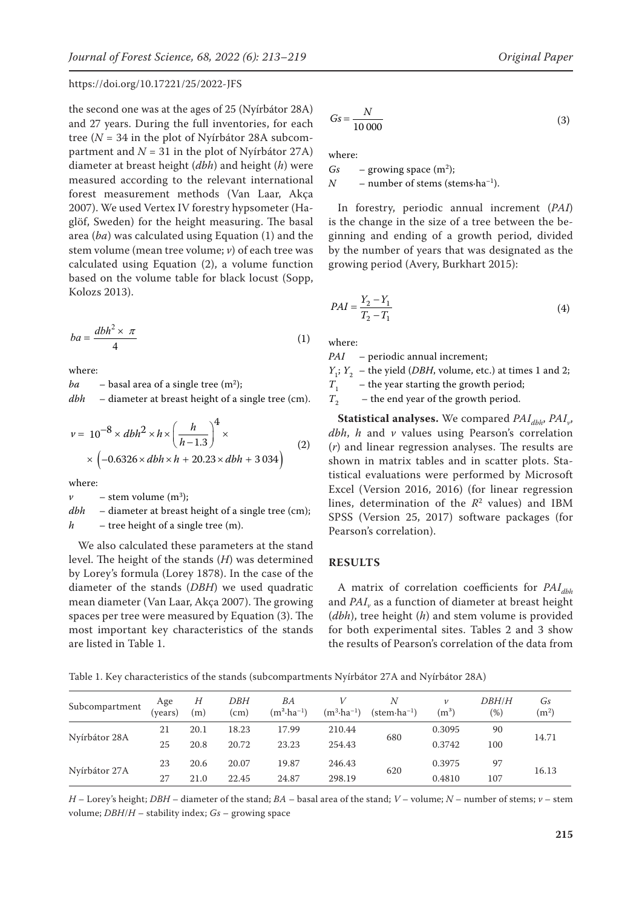the second one was at the ages of 25 (Nyírbátor 28A) and 27 years. During the full inventories, for each tree (*N* = 34 in the plot of Nyírbátor 28A subcompartment and  $N = 31$  in the plot of Nyírbátor 27A) diameter at breast height (*dbh*) and height (*h*) were measured according to the relevant international forest measurement methods (Van Laar, Akça 2007). We used Vertex IV forestry hypsometer (Haglöf, Sweden) for the height measuring. The basal area (*ba*) was calculated using Equation (1) and the stem volume (mean tree volume; *v*) of each tree was calculated using Equation (2), a volume function based on the volume table for black locust (Sopp, Kolozs 2013).

$$
ba = \frac{dbh^2 \times \pi}{4} \tag{1}
$$

where:

*ba* – basal area of a single tree  $(m^2)$ ;

*dbh* – diameter at breast height of a single tree (cm).

$$
\nu = 10^{-8} \times dbh^2 \times h \times \left(\frac{h}{h-1.3}\right)^4 \times
$$
  
 
$$
\times \left(-0.6326 \times dbh \times h + 20.23 \times dbh + 3.034\right)
$$
 (2)

where:

 $\nu$  – stem volume  $(m^3)$ ;

*dbh* – diameter at breast height of a single tree (cm); *h* – tree height of a single tree (m).

We also calculated these parameters at the stand level. The height of the stands (*H*) was determined by Lorey's formula (Lorey 1878). In the case of the diameter of the stands (*DBH*) we used quadratic mean diameter (Van Laar, Akça 2007). The growing spaces per tree were measured by Equation (3). The most important key characteristics of the stands are listed in Table 1.

$$
Gs = \frac{N}{10\,000} \tag{3}
$$

where:

 $Gs - growing space (m<sup>2</sup>)$ ;  $N$  – number of stems (stems·ha<sup>-1</sup>).

In forestry, periodic annual increment (*PAI*) is the change in the size of a tree between the beginning and ending of a growth period, divided by the number of years that was designated as the growing period (Avery, Burkhart 2015):

$$
PAI = \frac{Y_2 - Y_1}{T_2 - T_1}
$$
\n<sup>(4)</sup>

where:

*PAI* – periodic annual increment;

*Y*<sub>1</sub>; *Y*<sub>2</sub> – the yield (*DBH*, volume, etc.) at times 1 and 2;<br>*T*<sub>1</sub> – the year starting the growth period;

*T*<sub>1</sub> – the year starting the growth period;<br>*T*<sub>2</sub> – the end year of the growth period.

– the end year of the growth period.

**Statistical analyses.** We compared *PAI<sub>dbh</sub>*, *PAI*<sub>v</sub>, *dbh*, *h* and *v* values using Pearson's correlation (*r*) and linear regression analyses. The results are shown in matrix tables and in scatter plots. Statistical evaluations were performed by Microsoft Excel (Version 2016, 2016) (for linear regression lines, determination of the  $R^2$  values) and IBM SPSS (Version 25, 2017) software packages (for Pearson's correlation).

#### **RESULTS**

A matrix of correlation coefficients for *PAI<sub>dbh</sub>* and *PAI<sub>v</sub>* as a function of diameter at breast height (*dbh*), tree height (*h*) and stem volume is provided for both experimental sites. Tables 2 and 3 show the results of Pearson's correlation of the data from

Table 1. Key characteristics of the stands (subcompartments Nyírbátor 27A and Nyírbátor 28A)

| Subcompartment | Age<br>(vears) | Н<br>(m) | DBH<br>(cm) | ΒA<br>$(m^2 \cdot ha^{-1})$ | $(m^3 \cdot ha^{-1})$ | Ν<br>$(\text{stem} \cdot \text{ha}^{-1})$ | $\nu$<br>$\rm (m^3)$ | <b>DBH/H</b><br>(%) | Gs<br>(m <sup>2</sup> ) |
|----------------|----------------|----------|-------------|-----------------------------|-----------------------|-------------------------------------------|----------------------|---------------------|-------------------------|
| Nyírbátor 28A  | 21             | 20.1     | 18.23       | 17.99                       | 210.44                | 680                                       | 0.3095               | 90                  | 14.71                   |
|                | 25             | 20.8     | 20.72       | 23.23                       | 254.43                |                                           | 0.3742               | 100                 |                         |
| Nyírbátor 27A  | 23             | 20.6     | 20.07       | 19.87                       | 246.43                | 620                                       | 0.3975               | 97                  | 16.13                   |
|                | 27             | 21.0     | 22.45       | 24.87                       | 298.19                |                                           | 0.4810               | 107                 |                         |

*H* – Lorey's height; *DBH* – diameter of the stand; *BA* – basal area of the stand; *V* – volume; *N* – number of stems; *v* – stem volume; *DBH*/*H* – stability index; *Gs* – growing space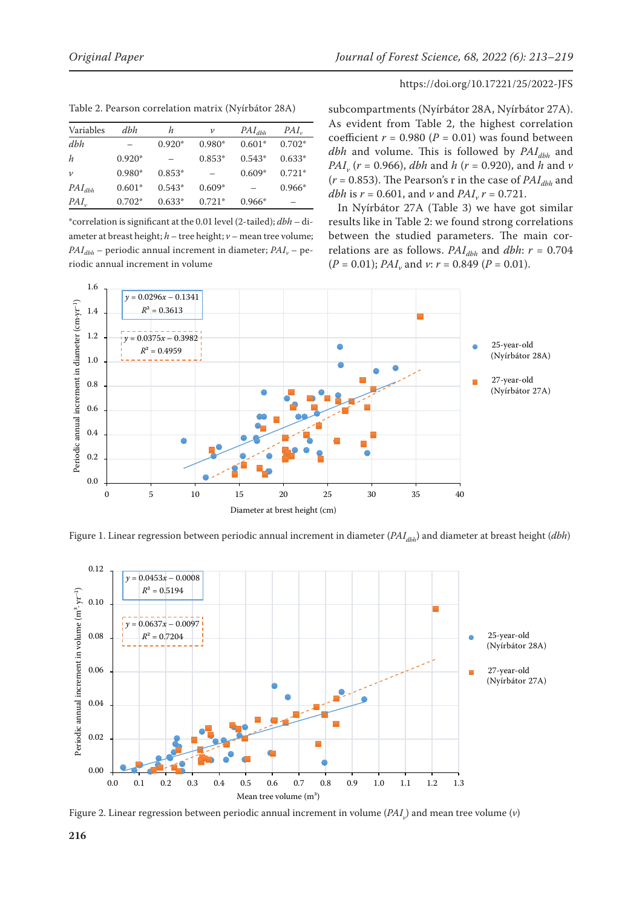| Variables   | dhh      | h        | $\boldsymbol{\nu}$ | $PAI_{dbh}$ | $PAI_{\nu}$ |
|-------------|----------|----------|--------------------|-------------|-------------|
| dbh         |          | $0.920*$ | $0.980*$           | $0.601*$    | $0.702*$    |
| h           | $0.920*$ |          | $0.853*$           | $0.543*$    | $0.633*$    |
| $\nu$       | $0.980*$ | $0.853*$ |                    | $0.609*$    | $0.721*$    |
| $PAI_{dbh}$ | $0.601*$ | $0.543*$ | $0.609*$           |             | $0.966*$    |
| $PAI_{\nu}$ | $0.702*$ | $0.633*$ | $0.721*$           | $0.966*$    |             |

Table 2. Pearson correlation matrix (Nyírbátor 28A)

\*correlation is significant at the 0.01 level (2-tailed); *dbh* – diameter at breast height; *h* – tree height; *v* – mean tree volume;  $PAI_{dbh}$  – periodic annual increment in diameter;  $PAI_v$  – periodic annual increment in volume

subcompartments (Nyírbátor 28A, Nyírbátor 27A). As evident from Table 2, the highest correlation coefficient  $r = 0.980$  ( $P = 0.01$ ) was found between *dbh* and volume. This is followed by  $PAI_{dhh}$  and *PAIv* (*r* = 0.966), *dbh* and *h* (*r* = 0.920), and *h* and *v*  $(r = 0.853)$ . The Pearson's r in the case of  $PAI_{dbh}$  and *dbh* is  $r = 0.601$ , and  $\nu$  and  $PAI_v r = 0.721$ .

In Nyírbátor 27A (Table 3) we have got similar results like in Table 2: we found strong correlations between the studied parameters. The main correlations are as follows.  $PAI_{dbh}$  and  $dbh$ :  $r = 0.704$  $(P = 0.01)$ ; *PAI<sub>v</sub>* and *v*:  $r = 0.849$  ( $P = 0.01$ ).



Figure 1. Linear regression between periodic annual increment in diameter (*PAI<sub>dbh</sub>*) and diameter at breast height (*dbh*)



Figure 2. Linear regression between periodic annual increment in volume (*PAI<sub>v</sub>*) and mean tree volume (*v*)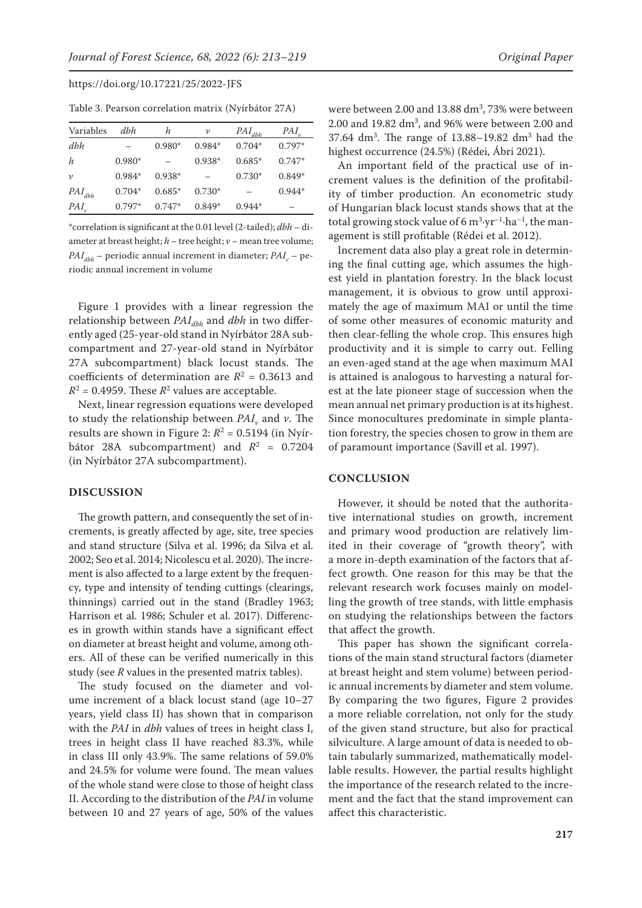| Table 3. Pearson correlation matrix (Nyírbátor 27A) |  |
|-----------------------------------------------------|--|
|-----------------------------------------------------|--|

| Variables   | dhh      | h        | $\mathcal V$ | $PAI_{dbh}$ | $PAI_{v}$ |
|-------------|----------|----------|--------------|-------------|-----------|
| dbh         |          | $0.980*$ | $0.984*$     | $0.704*$    | $0.797*$  |
| h           | $0.980*$ |          | $0.938*$     | $0.685*$    | $0.747*$  |
| $\nu$       | $0.984*$ | $0.938*$ |              | $0.730*$    | $0.849*$  |
| $PAI_{dbh}$ | $0.704*$ | $0.685*$ | $0.730*$     |             | $0.944*$  |
| PAI         | $0.797*$ | $0.747*$ | $0.849*$     | $0.944*$    |           |

\*correlation is significant at the 0.01 level (2-tailed); *dbh* – diameter at breast height; *h* – tree height; *v* – mean tree volume;  $PAI_{ab}$  – periodic annual increment in diameter;  $PAI_{ab}$  – periodic annual increment in volume

Figure 1 provides with a linear regression the relationship between *PAI<sub>dbh</sub>* and *dbh* in two differently aged (25-year-old stand in Nyírbátor 28A subcompartment and 27-year-old stand in Nyírbátor 27A subcompartment) black locust stands. The coefficients of determination are  $R^2 = 0.3613$  and  $R^2$  = 0.4959. These  $R^2$  values are acceptable.

Next, linear regression equations were developed to study the relationship between  $PAI<sub>v</sub>$  and  $v$ . The results are shown in Figure 2:  $R^2$  = 0.5194 (in Nyírbátor 28A subcompartment) and  $R^2 = 0.7204$ (in Nyírbátor 27A subcompartment).

#### **DISCUSSION**

The growth pattern, and consequently the set of increments, is greatly affected by age, site, tree species and stand structure (Silva et al. 1996; da Silva et al. 2002; Seo et al. 2014; Nicolescu et al. 2020). The increment is also affected to a large extent by the frequency, type and intensity of tending cuttings (clearings, thinnings) carried out in the stand (Bradley 1963; Harrison et al. 1986; Schuler et al. 2017). Differences in growth within stands have a significant effect on diameter at breast height and volume, among others. All of these can be verified numerically in this study (see *R* values in the presented matrix tables).

The study focused on the diameter and volume increment of a black locust stand (age 10–27 years, yield class II) has shown that in comparison with the *PAI* in *dbh* values of trees in height class I, trees in height class II have reached 83.3%, while in class III only 43.9%. The same relations of 59.0% and 24.5% for volume were found. The mean values of the whole stand were close to those of height class II. According to the distribution of the *PAI* in volume between 10 and 27 years of age, 50% of the values

were between  $2.00$  and  $13.88 \text{ dm}^3$ , 73% were between  $2.00$  and  $19.82$  dm<sup>3</sup>, and  $96\%$  were between  $2.00$  and  $37.64 \text{ dm}^3$ . The range of  $13.88 - 19.82 \text{ dm}^3$  had the highest occurrence (24.5%) (Rédei, Ábri 2021).

An important field of the practical use of increment values is the definition of the profitability of timber production. An econometric study of Hungarian black locust stands shows that at the total growing stock value of 6  $\text{m}^3\text{-}\text{yr}^{-1}\text{-}\text{ha}^{-1}$ , the management is still profitable (Rédei et al. 2012).

Increment data also play a great role in determining the final cutting age, which assumes the highest yield in plantation forestry. In the black locust management, it is obvious to grow until approximately the age of maximum MAI or until the time of some other measures of economic maturity and then clear-felling the whole crop. This ensures high productivity and it is simple to carry out. Felling an even-aged stand at the age when maximum MAI is attained is analogous to harvesting a natural forest at the late pioneer stage of succession when the mean annual net primary production is at its highest. Since monocultures predominate in simple plantation forestry, the species chosen to grow in them are of paramount importance (Savill et al. 1997).

## **CONCLUSION**

However, it should be noted that the authoritative international studies on growth, increment and primary wood production are relatively limited in their coverage of "growth theory", with a more in-depth examination of the factors that affect growth. One reason for this may be that the relevant research work focuses mainly on modelling the growth of tree stands, with little emphasis on studying the relationships between the factors that affect the growth.

This paper has shown the significant correlations of the main stand structural factors (diameter at breast height and stem volume) between periodic annual increments by diameter and stem volume. By comparing the two figures, Figure 2 provides a more reliable correlation, not only for the study of the given stand structure, but also for practical silviculture. A large amount of data is needed to obtain tabularly summarized, mathematically modellable results. However, the partial results highlight the importance of the research related to the increment and the fact that the stand improvement can affect this characteristic.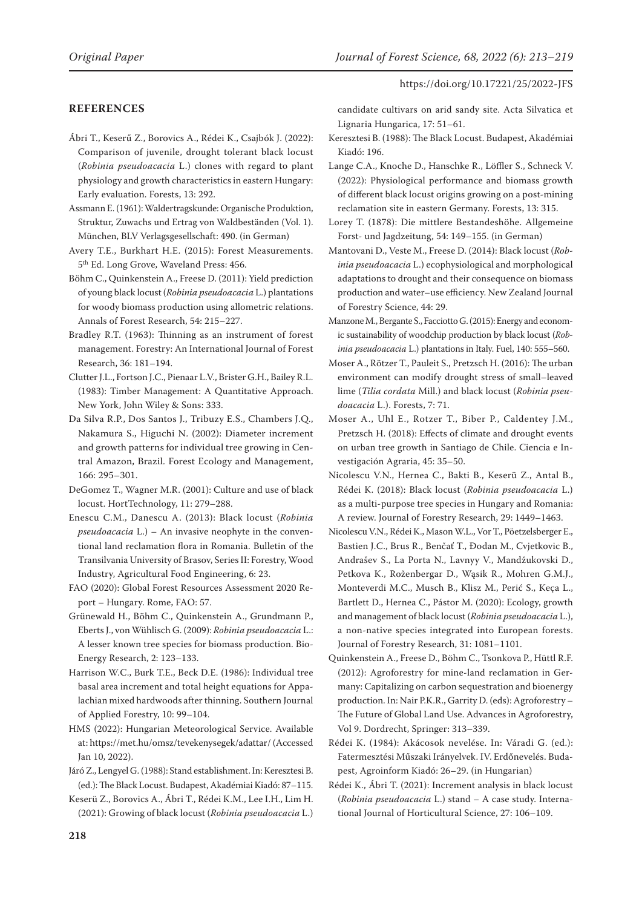## **REFERENCES**

Ábri T., Keserű Z., Borovics A., Rédei K., Csajbók J. (2022): Comparison of juvenile, drought tolerant black locust (*Robinia pseudoacacia* L.) clones with regard to plant physiology and growth characteristics in eastern Hungary: Early evaluation. Forests, 13: 292.

Assmann E. (1961): Waldertragskunde: Organische Produktion, Struktur, Zuwachs und Ertrag von Waldbeständen (Vol. 1). München, BLV Verlagsgesellschaft: 490. (in German)

Avery T.E., Burkhart H.E. (2015): Forest Measurements. 5th Ed. Long Grove, Waveland Press: 456.

Böhm C., Quinkenstein A., Freese D. (2011): Yield prediction of young black locust (*Robinia pseudoacacia* L.) plantations for woody biomass production using allometric relations. Annals of Forest Research, 54: 215–227.

Bradley R.T. (1963): Thinning as an instrument of forest management. Forestry: An International Journal of Forest Research, 36: 181–194.

Clutter J.L., Fortson J.C., Pienaar L.V., Brister G.H., Bailey R.L. (1983): Timber Management: A Quantitative Approach. New York, John Wiley & Sons: 333.

Da Silva R.P., Dos Santos J., Tribuzy E.S., Chambers J.Q., Nakamura S., Higuchi N. (2002): Diameter increment and growth patterns for individual tree growing in Central Amazon, Brazil. Forest Ecology and Management, 166: 295–301.

DeGomez T., Wagner M.R. (2001): Culture and use of black locust. HortTechnology, 11: 279–288.

Enescu C.M., Danescu A. (2013): Black locust (*Robinia pseudoacacia* L.) – An invasive neophyte in the conventional land reclamation flora in Romania. Bulletin of the Transilvania University of Brasov, Series II: Forestry, Wood Industry, Agricultural Food Engineering, 6: 23.

FAO (2020): Global Forest Resources Assessment 2020 Report – Hungary. Rome, FAO: 57.

Grünewald H., Böhm C., Quinkenstein A., Grundmann P., Eberts J., von Wühlisch G. (2009): *Robinia pseudoacacia* L.: A lesser known tree species for biomass production. Bio-Energy Research, 2: 123–133.

Harrison W.C., Burk T.E., Beck D.E. (1986): Individual tree basal area increment and total height equations for Appalachian mixed hardwoods after thinning. Southern Journal of Applied Forestry, 10: 99–104.

HMS (2022): Hungarian Meteorological Service. Available at: https://met.hu/omsz/tevekenysegek/adattar/ (Accessed Jan 10, 2022).

Járó Z., Lengyel G. (1988): Stand establishment. In: Keresztesi B. (ed.): The Black Locust. Budapest, Akadémiai Kiadó: 87–115.

Keserü Z., Borovics A., Ábri T., Rédei K.M., Lee I.H., Lim H. (2021): Growing of black locust (*Robinia pseudoacacia* L.) candidate cultivars on arid sandy site. Acta Silvatica et Lignaria Hungarica, 17: 51–61.

- Keresztesi B. (1988): The Black Locust. Budapest, Akadémiai Kiadó: 196.
- Lange C.A., Knoche D., Hanschke R., Löffler S., Schneck V. (2022): Physiological performance and biomass growth of different black locust origins growing on a post-mining reclamation site in eastern Germany. Forests, 13: 315.

Lorey T. (1878): Die mittlere Bestandeshöhe. Allgemeine Forst- und Jagdzeitung, 54: 149–155. (in German)

Mantovani D., Veste M., Freese D. (2014): Black locust (*Robinia pseudoacacia* L.) ecophysiological and morphological adaptations to drought and their consequence on biomass production and water–use efficiency. New Zealand Journal of Forestry Science, 44: 29.

Manzone M., Bergante S., Facciotto G. (2015): Energy and economic sustainability of woodchip production by black locust (*Robinia pseudoacacia* L.) plantations in Italy. Fuel, 140: 555–560.

Moser A., Rötzer T., Pauleit S., Pretzsch H. (2016): The urban environment can modify drought stress of small–leaved lime (*Tilia cordata* Mill.) and black locust (*Robinia pseudoacacia* L.). Forests, 7: 71.

Moser A., Uhl E., Rotzer T., Biber P., Caldentey J.M., Pretzsch H. (2018): Effects of climate and drought events on urban tree growth in Santiago de Chile. Ciencia e Investigación Agraria, 45: 35–50.

Nicolescu V.N., Hernea C., Bakti B., Keserü Z., Antal B., Rédei K. (2018): Black locust (*Robinia pseudoacacia* L.) as a multi-purpose tree species in Hungary and Romania: A review. Journal of Forestry Research, 29: 1449–1463.

Nicolescu V.N., Rédei K., Mason W.L., Vor T., Pöetzelsberger E., Bastien J.C., Brus R., Benčať T., Đodan M., Cvjetkovic B., Andrašev S., La Porta N., Lavnyy V., Mandžukovski D., Petkova K., Roženbergar D., Wąsik R., Mohren G.M.J., Monteverdi M.C., Musch B., Klisz M., Perić S., Keça L., Bartlett D., Hernea C., Pástor M. (2020): Ecology, growth and management of black locust (*Robinia pseudoacacia* L.), a non-native species integrated into European forests. Journal of Forestry Research, 31: 1081–1101.

Quinkenstein A., Freese D., Böhm C., Tsonkova P., Hüttl R.F. (2012): Agroforestry for mine-land reclamation in Germany: Capitalizing on carbon sequestration and bioenergy production. In: Nair P.K.R., Garrity D. (eds): Agroforestry – The Future of Global Land Use. Advances in Agroforestry, Vol 9. Dordrecht, Springer: 313–339.

Rédei K. (1984): Akácosok nevelése. In: Váradi G. (ed.): Fatermesztési Műszaki Irányelvek. IV. Erdőnevelés. Budapest, Agroinform Kiadó: 26–29. (in Hungarian)

Rédei K., Ábri T. (2021): Increment analysis in black locust (*Robinia pseudoacacia* L.) stand – A case study. International Journal of Horticultural Science, 27: 106–109.